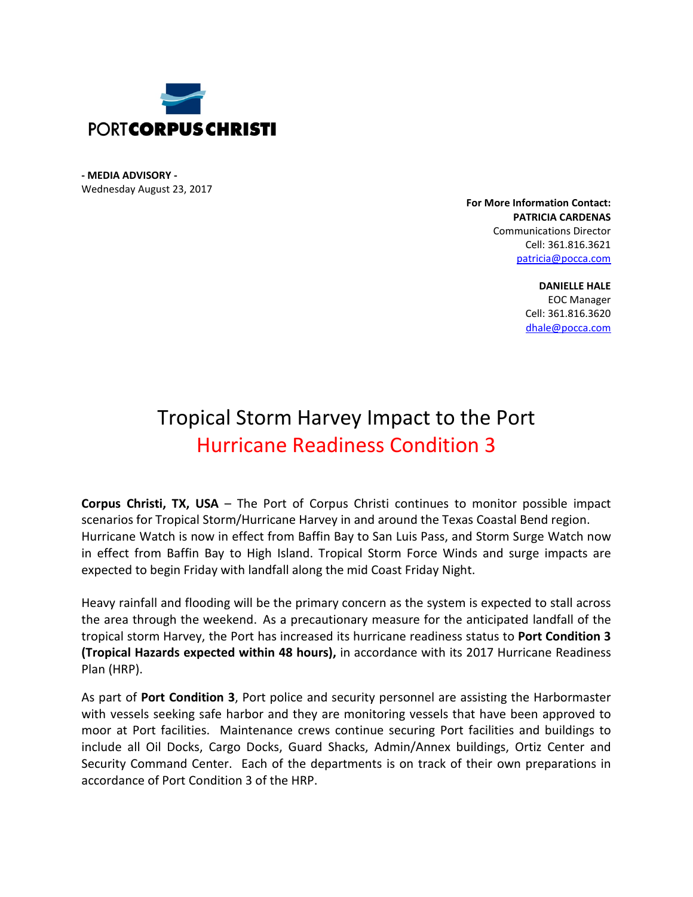

**- MEDIA ADVISORY -** Wednesday August 23, 2017

> **For More Information Contact: PATRICIA CARDENAS** Communications Director Cell: 361.816.3621 [patricia@pocca.com](mailto:patricia@pocca.com)

> > **DANIELLE HALE** EOC Manager Cell: 361.816.3620 [dhale@pocca.com](mailto:dhale@pocca.com)

## Tropical Storm Harvey Impact to the Port Hurricane Readiness Condition 3

**Corpus Christi, TX, USA** – The Port of Corpus Christi continues to monitor possible impact scenarios for Tropical Storm/Hurricane Harvey in and around the Texas Coastal Bend region. Hurricane Watch is now in effect from Baffin Bay to San Luis Pass, and Storm Surge Watch now in effect from Baffin Bay to High Island. Tropical Storm Force Winds and surge impacts are expected to begin Friday with landfall along the mid Coast Friday Night.

Heavy rainfall and flooding will be the primary concern as the system is expected to stall across the area through the weekend. As a precautionary measure for the anticipated landfall of the tropical storm Harvey, the Port has increased its hurricane readiness status to **Port Condition 3 (Tropical Hazards expected within 48 hours),** in accordance with its 2017 Hurricane Readiness Plan (HRP).

As part of **Port Condition 3**, Port police and security personnel are assisting the Harbormaster with vessels seeking safe harbor and they are monitoring vessels that have been approved to moor at Port facilities. Maintenance crews continue securing Port facilities and buildings to include all Oil Docks, Cargo Docks, Guard Shacks, Admin/Annex buildings, Ortiz Center and Security Command Center. Each of the departments is on track of their own preparations in accordance of Port Condition 3 of the HRP.